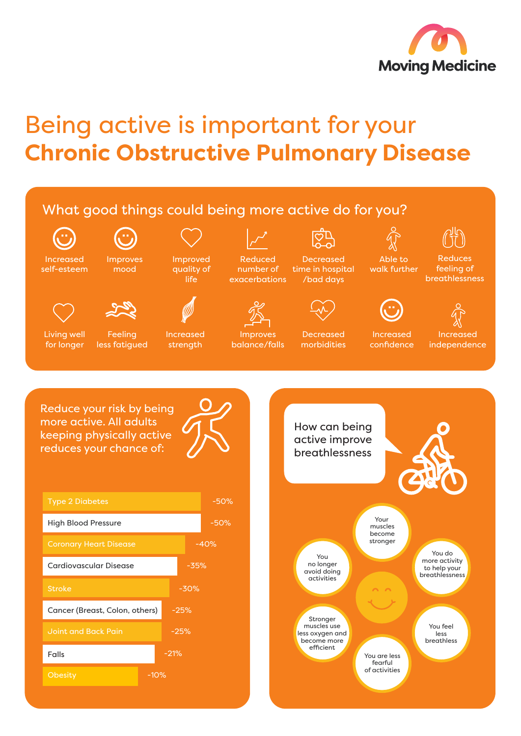

## Being active is important for your **Chronic Obstructive Pulmonary Disease**